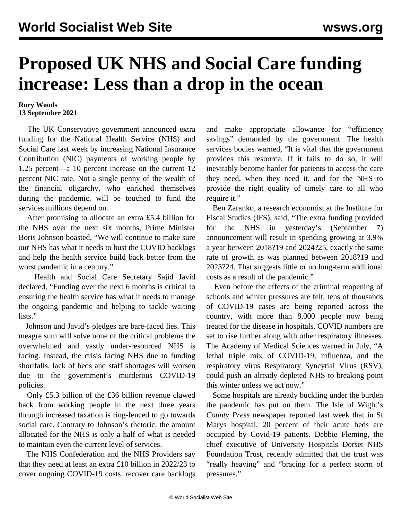## **Proposed UK NHS and Social Care funding increase: Less than a drop in the ocean**

## **Rory Woods 13 September 2021**

 The UK Conservative government announced extra funding for the National Health Service (NHS) and Social Care last week by increasing National Insurance Contribution (NIC) payments of working people by 1.25 percent—a 10 percent increase on the current 12 percent NIC rate. Not a single penny of the wealth of the financial oligarchy, who enriched themselves during the pandemic, will be touched to fund the services millions depend on.

 After promising to allocate an extra £5.4 billion for the NHS over the next six months, Prime Minister Boris Johnson boasted, "We will continue to make sure our NHS has what it needs to bust the COVID backlogs and help the health service build back better from the worst pandemic in a century."

 Health and Social Care Secretary Sajid Javid declared, "Funding over the next 6 months is critical to ensuring the health service has what it needs to manage the ongoing pandemic and helping to tackle waiting lists."

 Johnson and Javid's pledges are bare-faced lies. This meagre sum will solve none of the critical problems the overwhelmed and vastly under-resourced NHS is facing. Instead, the crisis facing NHS due to funding shortfalls, lack of beds and staff shortages will worsen due to the government's murderous COVID-19 policies.

 Only £5.3 billion of the £36 billion revenue clawed back from working people in the next three years through increased taxation is ring-fenced to go towards social care. Contrary to Johnson's rhetoric, the amount allocated for the NHS is only a half of what is needed to maintain even the current level of services.

 The NHS Confederation and the NHS Providers say that they need at least an extra £10 billion in 2022/23 to cover ongoing COVID-19 costs, recover care backlogs and make appropriate allowance for "efficiency savings" demanded by the government. The health services bodies warned, "It is vital that the government provides this resource. If it fails to do so, it will inevitably become harder for patients to access the care they need, when they need it, and for the NHS to provide the right quality of timely care to all who require it."

 Ben Zaranko, a research economist at the Institute for Fiscal Studies (IFS), said, "The extra funding provided for the NHS in yesterday's (September 7) announcement will result in spending growing at 3.9% a year between 2018?19 and 2024?25, exactly the same rate of growth as was planned between 2018?19 and 2023?24. That suggests little or no long-term additional costs as a result of the pandemic."

 Even before the effects of the criminal reopening of schools and winter pressures are felt, tens of thousands of COVID-19 cases are being reported across the country, with more than 8,000 people now being treated for the disease in hospitals. COVID numbers are set to rise further along with other respiratory illnesses. The Academy of Medical Sciences warned in July, "A lethal triple mix of COVID-19, influenza, and the respiratory virus Respiratory Syncytial Virus (RSV), could push an already depleted NHS to breaking point this winter unless we act now."

 Some hospitals are [already buckling](/en/articles/2021/09/12/couk-s12.html) under the burden the pandemic has put on them. The Isle of Wight's *County Press* newspaper reported last week that in St Marys hospital, 20 percent of their acute beds are occupied by Covid-19 patients. Debbie Fleming, the chief executive of University Hospitals Dorset NHS Foundation Trust, recently admitted that the trust was "really heaving" and "bracing for a perfect storm of pressures."